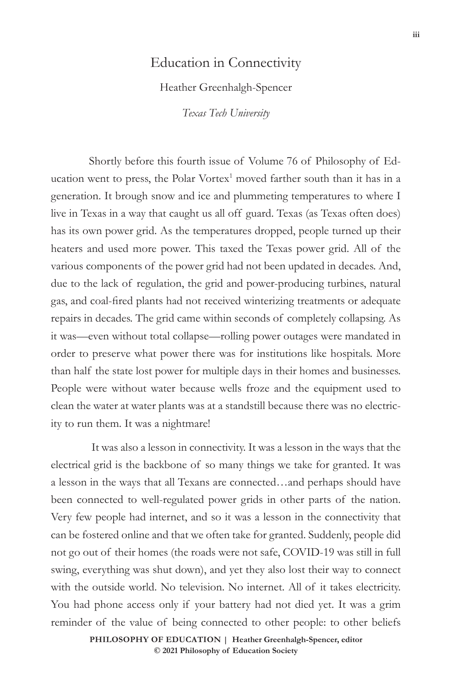## Education in Connectivity

## Heather Greenhalgh-Spencer

*Texas Tech University*

Shortly before this fourth issue of Volume 76 of Philosophy of Education went to press, the Polar Vortex<sup>1</sup> moved farther south than it has in a generation. It brough snow and ice and plummeting temperatures to where I live in Texas in a way that caught us all off guard. Texas (as Texas often does) has its own power grid. As the temperatures dropped, people turned up their heaters and used more power. This taxed the Texas power grid. All of the various components of the power grid had not been updated in decades. And, due to the lack of regulation, the grid and power-producing turbines, natural gas, and coal-fired plants had not received winterizing treatments or adequate repairs in decades. The grid came within seconds of completely collapsing. As it was—even without total collapse—rolling power outages were mandated in order to preserve what power there was for institutions like hospitals. More than half the state lost power for multiple days in their homes and businesses. People were without water because wells froze and the equipment used to clean the water at water plants was at a standstill because there was no electricity to run them. It was a nightmare!

 It was also a lesson in connectivity. It was a lesson in the ways that the electrical grid is the backbone of so many things we take for granted. It was a lesson in the ways that all Texans are connected…and perhaps should have been connected to well-regulated power grids in other parts of the nation. Very few people had internet, and so it was a lesson in the connectivity that can be fostered online and that we often take for granted. Suddenly, people did not go out of their homes (the roads were not safe, COVID-19 was still in full swing, everything was shut down), and yet they also lost their way to connect with the outside world. No television. No internet. All of it takes electricity. You had phone access only if your battery had not died yet. It was a grim reminder of the value of being connected to other people: to other beliefs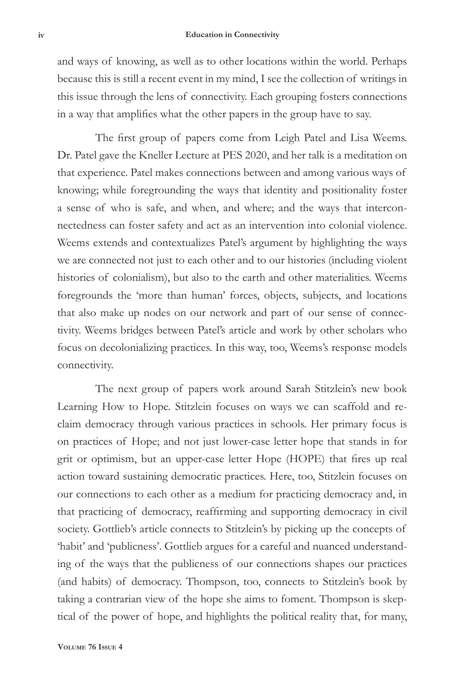and ways of knowing, as well as to other locations within the world. Perhaps because this is still a recent event in my mind, I see the collection of writings in this issue through the lens of connectivity. Each grouping fosters connections in a way that amplifies what the other papers in the group have to say.

The first group of papers come from Leigh Patel and Lisa Weems. Dr. Patel gave the Kneller Lecture at PES 2020, and her talk is a meditation on that experience. Patel makes connections between and among various ways of knowing; while foregrounding the ways that identity and positionality foster a sense of who is safe, and when, and where; and the ways that interconnectedness can foster safety and act as an intervention into colonial violence. Weems extends and contextualizes Patel's argument by highlighting the ways we are connected not just to each other and to our histories (including violent histories of colonialism), but also to the earth and other materialities. Weems foregrounds the 'more than human' forces, objects, subjects, and locations that also make up nodes on our network and part of our sense of connectivity. Weems bridges between Patel's article and work by other scholars who focus on decolonializing practices. In this way, too, Weems's response models connectivity.

The next group of papers work around Sarah Stitzlein's new book Learning How to Hope. Stitzlein focuses on ways we can scaffold and reclaim democracy through various practices in schools. Her primary focus is on practices of Hope; and not just lower-case letter hope that stands in for grit or optimism, but an upper-case letter Hope (HOPE) that fires up real action toward sustaining democratic practices. Here, too, Stitzlein focuses on our connections to each other as a medium for practicing democracy and, in that practicing of democracy, reaffirming and supporting democracy in civil society. Gottlieb's article connects to Stitzlein's by picking up the concepts of 'habit' and 'publicness'. Gottlieb argues for a careful and nuanced understanding of the ways that the publicness of our connections shapes our practices (and habits) of democracy. Thompson, too, connects to Stitzlein's book by taking a contrarian view of the hope she aims to foment. Thompson is skeptical of the power of hope, and highlights the political reality that, for many,